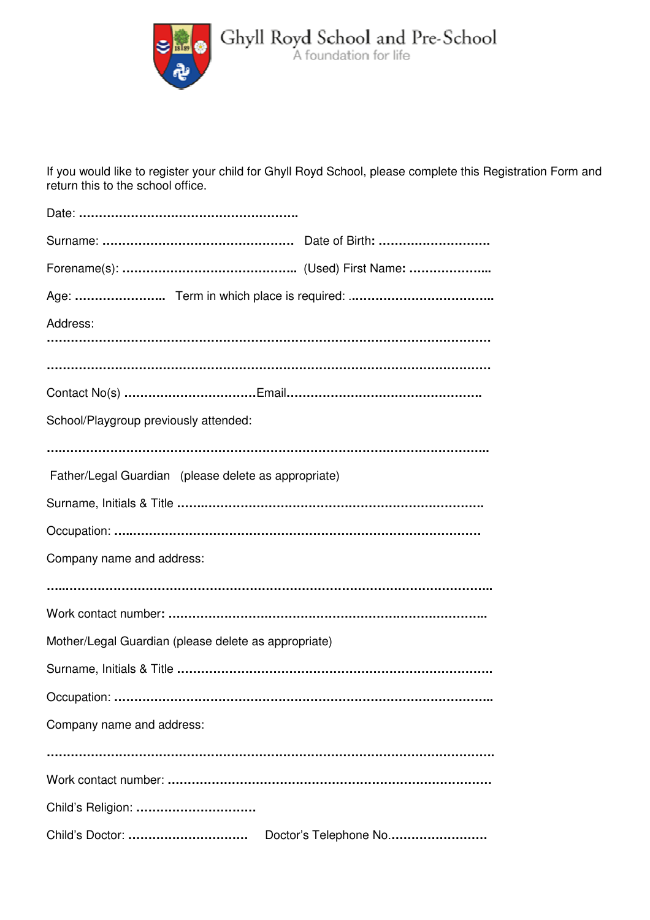

If you would like to register your child for Ghyll Royd School, please complete this Registration Form and return this to the school office.

| Address:                                             |
|------------------------------------------------------|
|                                                      |
|                                                      |
| School/Playgroup previously attended:                |
| Father/Legal Guardian (please delete as appropriate) |
|                                                      |
|                                                      |
| Company name and address:                            |
|                                                      |
|                                                      |
| Mother/Legal Guardian (please delete as appropriate) |
|                                                      |
| Occupation:                                          |
| Company name and address:                            |
|                                                      |
| Child's Religion:                                    |
| Child's Doctor:<br>Doctor's Telephone No             |